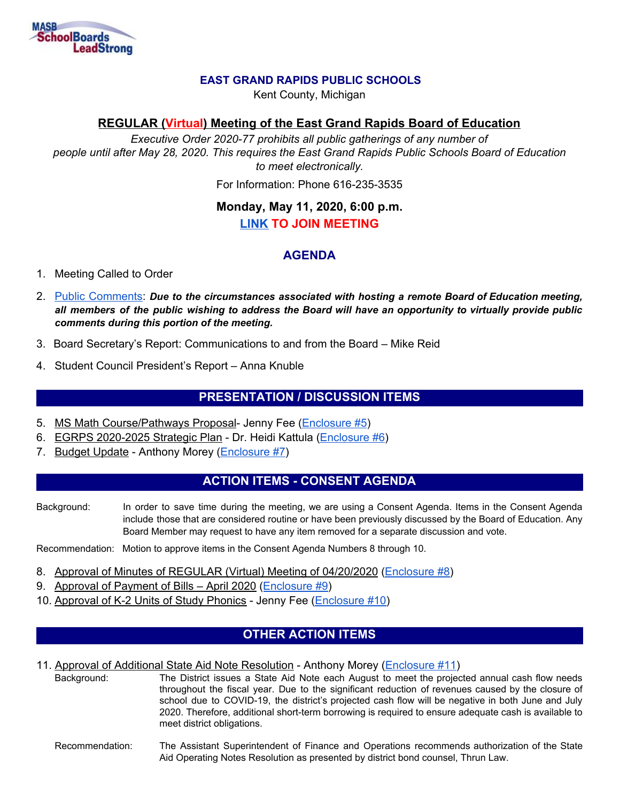

### **EAST GRAND RAPIDS PUBLIC SCHOOLS**

Kent County, Michigan

## **REGULAR (Virtual) Meeting of the East Grand Rapids Board of Education**

*Executive Order 2020-77 prohibits all public gatherings of any number of people until after May 28, 2020. This requires the East Grand Rapids Public Schools Board of Education to meet electronically.*

For Information: Phone 616-235-3535

# **Monday, May 11, 2020, 6:00 p.m. [LINK](http://meet.google.com/tdt-ugru-qkd) TO JOIN MEETING**

## **AGENDA**

### 1. Meeting Called to Order

- 2. Public [Comments:](https://drive.google.com/file/d/1-Pmv053z4wmBAfIDe6X6ISG4Pk2-TYMG/view?usp=sharing) *Due to the circumstances associated with hosting a remote Board of Education meeting,* all members of the public wishing to address the Board will have an opportunity to virtually provide public *comments during this portion of the meeting.*
- 3. Board Secretary's Report: Communications to and from the Board Mike Reid
- 4. Student Council President's Report Anna Knuble

# **PRESENTATION / DISCUSSION ITEMS**

- 5. MS Math Course/Pathways Proposal- Jenny Fee [\(Enclosure](https://drive.google.com/file/d/1QOff5M1Bf9wENyg5wO4G2iXwToLgm_MX/view?usp=sharing) #5)
- 6. EGRPS 2020-2025 Strategic Plan Dr. Heidi Kattula [\(Enclosure](https://drive.google.com/file/d/13VEGY6gjvEca35IOp5yB9xbSRtecsNmG/view?usp=sharing) #6)
- 7. Budget Update Anthony Morey ([Enclosure](https://drive.google.com/file/d/13gAkAXqVClnu_XRfVczmuesN8eZmnCj1/view?usp=sharing) #7)

## **ACTION ITEMS - CONSENT AGENDA**

Background: In order to save time during the meeting, we are using a Consent Agenda. Items in the Consent Agenda include those that are considered routine or have been previously discussed by the Board of Education. Any Board Member may request to have any item removed for a separate discussion and vote.

Recommendation: Motion to approve items in the Consent Agenda Numbers 8 through 10.

- 8. Approval of Minutes of REGULAR (Virtual) Meeting of 04/20/2020 [\(Enclosure](https://drive.google.com/file/d/1TTSFPFn3fuqFvqin3iJprF3ny3KC7qH-/view?usp=sharing) #8)
- 9. Approval of Payment of Bills April 2020 ([Enclosure](https://drive.google.com/file/d/134kncvsek_UPzv_T6SlfkLClmn00FK2R/view?usp=sharing) #9)
- 10. Approval of K-2 Units of Study Phonics Jenny Fee [\(Enclosure](https://drive.google.com/file/d/1hAHZryeJz7kOuGQSOkB8zPFhgm7wdXfo/view?usp=sharing) #10)

# **OTHER ACTION ITEMS**

#### 11. Approval of Additional State Aid Note Resolution - Anthony Morey [\(Enclosure](https://drive.google.com/file/d/1TjAL49sqwzMoJmev2yE6LdCXi-hlU-Zv/view?usp=sharing) #11)

Background: The District issues a State Aid Note each August to meet the projected annual cash flow needs throughout the fiscal year. Due to the significant reduction of revenues caused by the closure of school due to COVID-19, the district's projected cash flow will be negative in both June and July 2020. Therefore, additional short-term borrowing is required to ensure adequate cash is available to meet district obligations.

#### Recommendation: The Assistant Superintendent of Finance and Operations recommends authorization of the State Aid Operating Notes Resolution as presented by district bond counsel, Thrun Law.